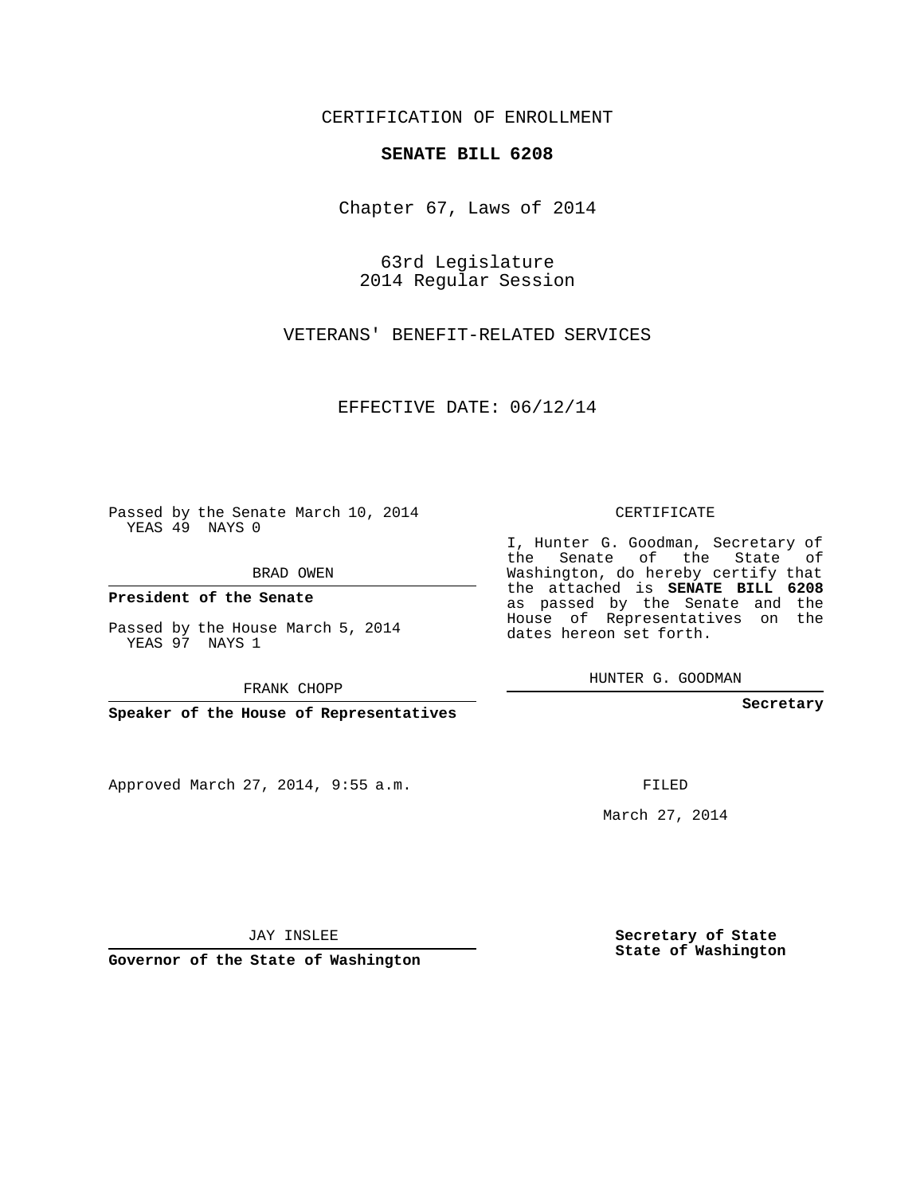## CERTIFICATION OF ENROLLMENT

## **SENATE BILL 6208**

Chapter 67, Laws of 2014

63rd Legislature 2014 Regular Session

VETERANS' BENEFIT-RELATED SERVICES

EFFECTIVE DATE: 06/12/14

 $\mathcal{L}_{\text{max}}$ 

Passed by the Senate March 10, 2014 YEAS 49 NAYS 0

BRAD OWEN

**President of the Senate**

Passed by the House March 5, 2014 YEAS 97 NAYS 1

FRANK CHOPP

**Speaker of the House of Representatives**

Approved March 27, 2014, 9:55 a.m.

CERTIFICATE

I, Hunter G. Goodman, Secretary of the Senate of the State of Washington, do hereby certify that the attached is **SENATE BILL 6208** as passed by the Senate and the House of Representatives on the dates hereon set forth.

HUNTER G. GOODMAN

**Secretary**

FILED

March 27, 2014

**Secretary of State State of Washington**

JAY INSLEE

**Governor of the State of Washington**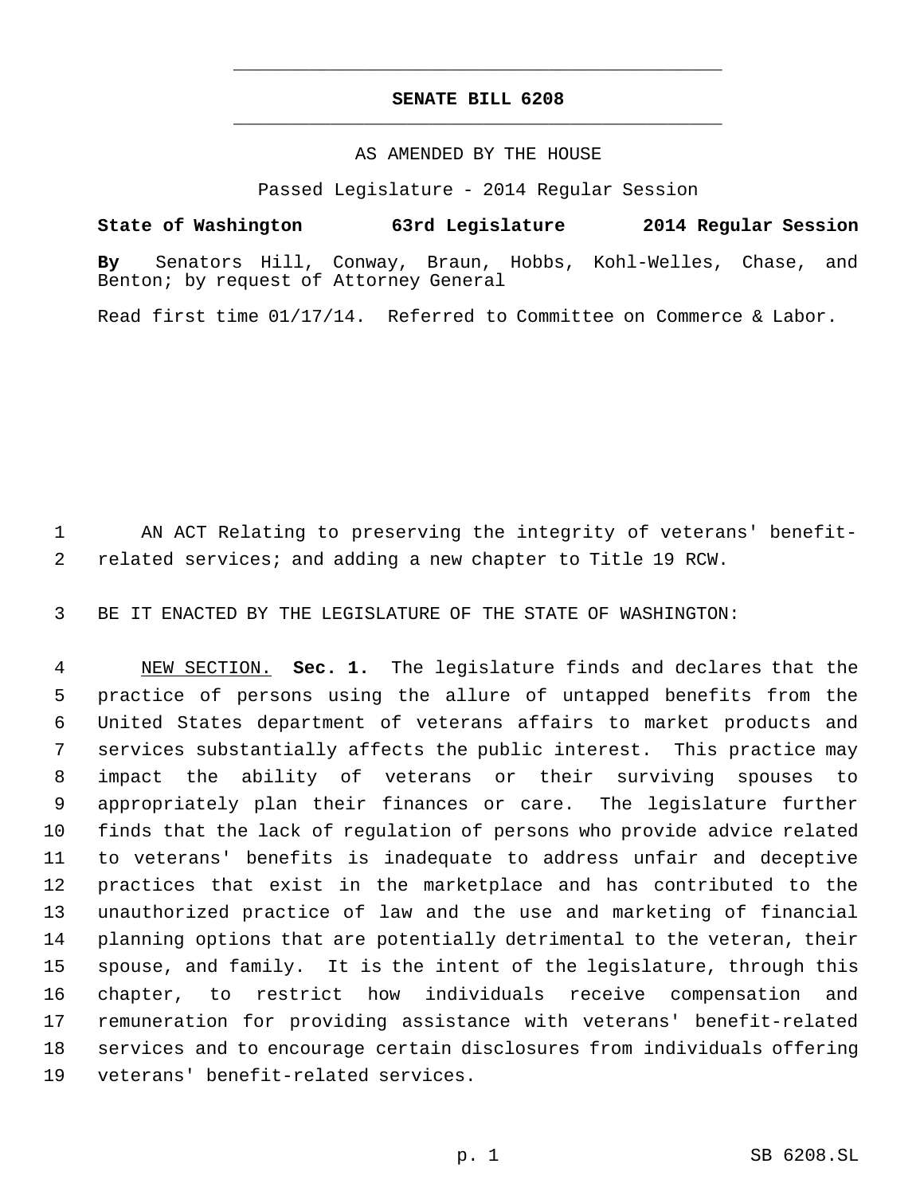## **SENATE BILL 6208** \_\_\_\_\_\_\_\_\_\_\_\_\_\_\_\_\_\_\_\_\_\_\_\_\_\_\_\_\_\_\_\_\_\_\_\_\_\_\_\_\_\_\_\_\_

\_\_\_\_\_\_\_\_\_\_\_\_\_\_\_\_\_\_\_\_\_\_\_\_\_\_\_\_\_\_\_\_\_\_\_\_\_\_\_\_\_\_\_\_\_

## AS AMENDED BY THE HOUSE

Passed Legislature - 2014 Regular Session

**State of Washington 63rd Legislature 2014 Regular Session By** Senators Hill, Conway, Braun, Hobbs, Kohl-Welles, Chase, and Benton; by request of Attorney General

Read first time 01/17/14. Referred to Committee on Commerce & Labor.

 AN ACT Relating to preserving the integrity of veterans' benefit- related services; and adding a new chapter to Title 19 RCW.

BE IT ENACTED BY THE LEGISLATURE OF THE STATE OF WASHINGTON:

 NEW SECTION. **Sec. 1.** The legislature finds and declares that the practice of persons using the allure of untapped benefits from the United States department of veterans affairs to market products and services substantially affects the public interest. This practice may impact the ability of veterans or their surviving spouses to appropriately plan their finances or care. The legislature further finds that the lack of regulation of persons who provide advice related to veterans' benefits is inadequate to address unfair and deceptive practices that exist in the marketplace and has contributed to the unauthorized practice of law and the use and marketing of financial planning options that are potentially detrimental to the veteran, their spouse, and family. It is the intent of the legislature, through this chapter, to restrict how individuals receive compensation and remuneration for providing assistance with veterans' benefit-related services and to encourage certain disclosures from individuals offering veterans' benefit-related services.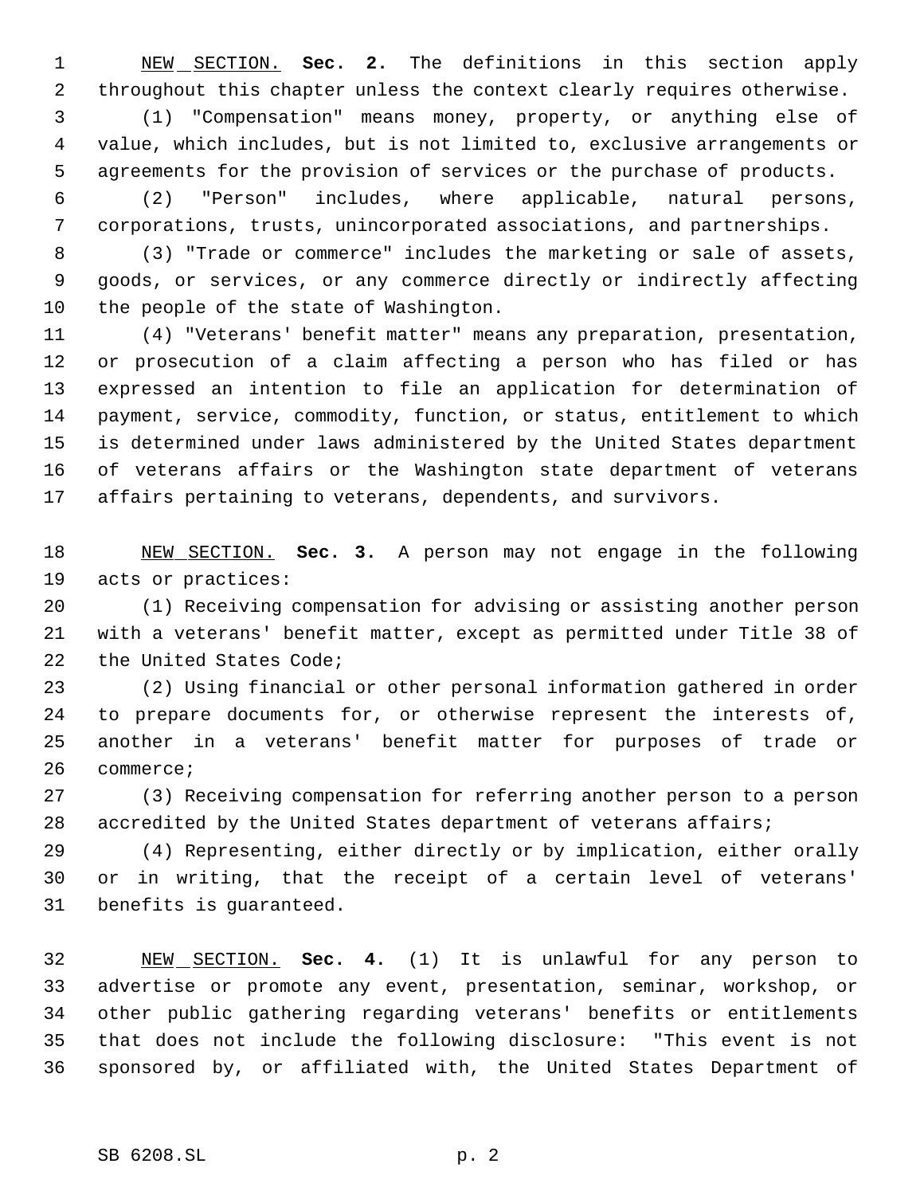NEW SECTION. **Sec. 2.** The definitions in this section apply throughout this chapter unless the context clearly requires otherwise.

 (1) "Compensation" means money, property, or anything else of value, which includes, but is not limited to, exclusive arrangements or agreements for the provision of services or the purchase of products.

 (2) "Person" includes, where applicable, natural persons, corporations, trusts, unincorporated associations, and partnerships.

 (3) "Trade or commerce" includes the marketing or sale of assets, goods, or services, or any commerce directly or indirectly affecting the people of the state of Washington.

 (4) "Veterans' benefit matter" means any preparation, presentation, or prosecution of a claim affecting a person who has filed or has expressed an intention to file an application for determination of payment, service, commodity, function, or status, entitlement to which is determined under laws administered by the United States department of veterans affairs or the Washington state department of veterans affairs pertaining to veterans, dependents, and survivors.

 NEW SECTION. **Sec. 3.** A person may not engage in the following acts or practices:

 (1) Receiving compensation for advising or assisting another person with a veterans' benefit matter, except as permitted under Title 38 of the United States Code;

 (2) Using financial or other personal information gathered in order to prepare documents for, or otherwise represent the interests of, another in a veterans' benefit matter for purposes of trade or commerce;

 (3) Receiving compensation for referring another person to a person accredited by the United States department of veterans affairs;

 (4) Representing, either directly or by implication, either orally or in writing, that the receipt of a certain level of veterans' benefits is guaranteed.

 NEW SECTION. **Sec. 4.** (1) It is unlawful for any person to advertise or promote any event, presentation, seminar, workshop, or other public gathering regarding veterans' benefits or entitlements that does not include the following disclosure: "This event is not sponsored by, or affiliated with, the United States Department of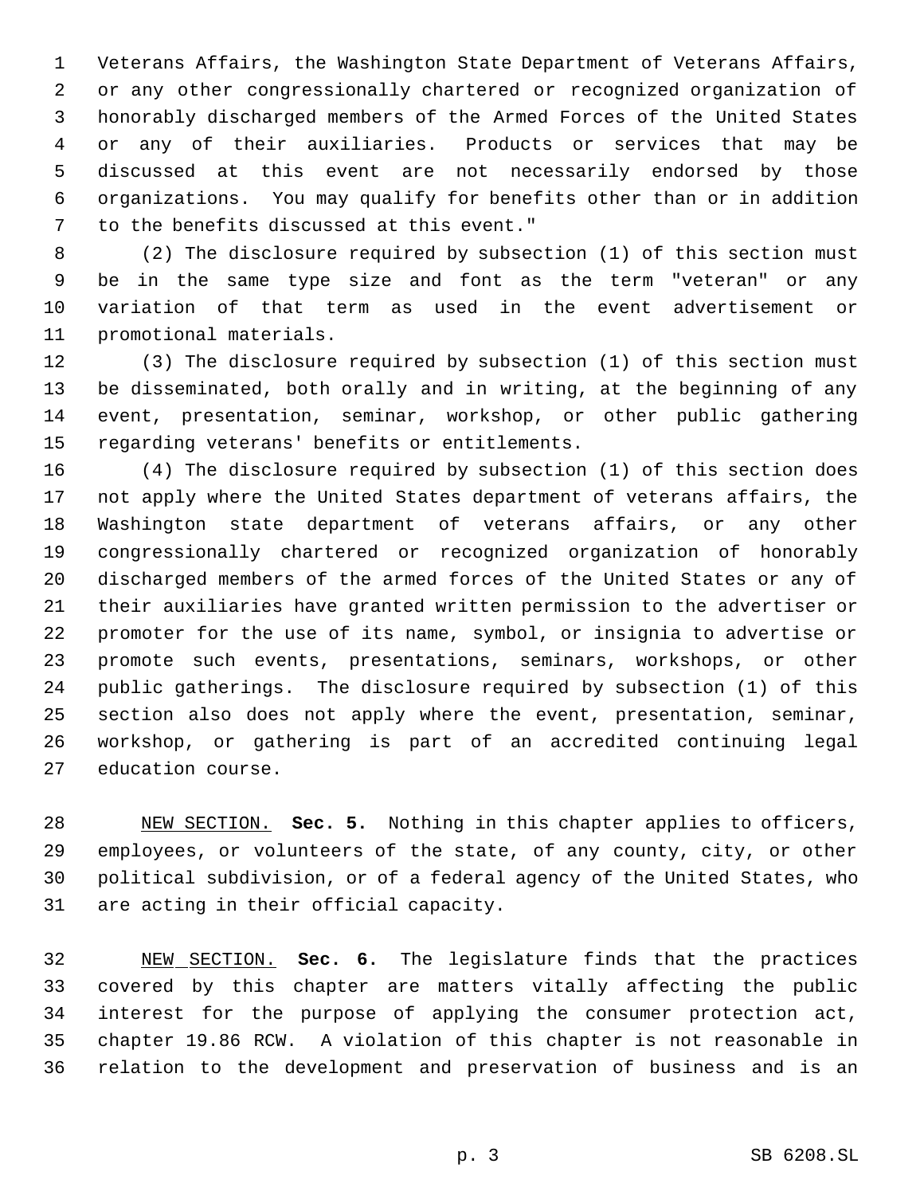Veterans Affairs, the Washington State Department of Veterans Affairs, or any other congressionally chartered or recognized organization of honorably discharged members of the Armed Forces of the United States or any of their auxiliaries. Products or services that may be discussed at this event are not necessarily endorsed by those organizations. You may qualify for benefits other than or in addition to the benefits discussed at this event."

 (2) The disclosure required by subsection (1) of this section must be in the same type size and font as the term "veteran" or any variation of that term as used in the event advertisement or promotional materials.

 (3) The disclosure required by subsection (1) of this section must be disseminated, both orally and in writing, at the beginning of any event, presentation, seminar, workshop, or other public gathering regarding veterans' benefits or entitlements.

 (4) The disclosure required by subsection (1) of this section does not apply where the United States department of veterans affairs, the Washington state department of veterans affairs, or any other congressionally chartered or recognized organization of honorably discharged members of the armed forces of the United States or any of their auxiliaries have granted written permission to the advertiser or promoter for the use of its name, symbol, or insignia to advertise or promote such events, presentations, seminars, workshops, or other public gatherings. The disclosure required by subsection (1) of this section also does not apply where the event, presentation, seminar, workshop, or gathering is part of an accredited continuing legal education course.

 NEW SECTION. **Sec. 5.** Nothing in this chapter applies to officers, employees, or volunteers of the state, of any county, city, or other political subdivision, or of a federal agency of the United States, who are acting in their official capacity.

 NEW SECTION. **Sec. 6.** The legislature finds that the practices covered by this chapter are matters vitally affecting the public interest for the purpose of applying the consumer protection act, chapter 19.86 RCW. A violation of this chapter is not reasonable in relation to the development and preservation of business and is an